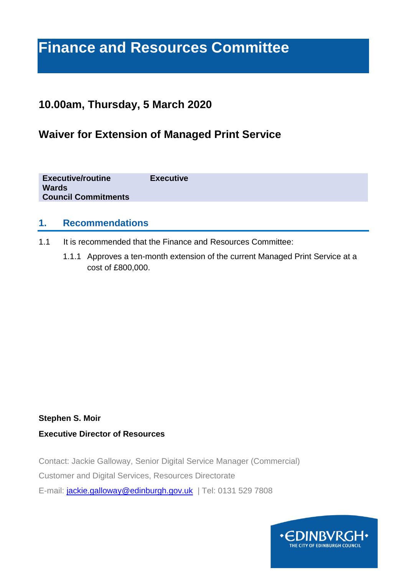# **Finance and Resources Committee**

# **10.00am, Thursday, 5 March 2020**

# **Waiver for Extension of Managed Print Service**

**Executive/routine Executive Wards Council Commitments**

#### **1. Recommendations**

- 1.1 It is recommended that the Finance and Resources Committee:
	- 1.1.1 Approves a ten-month extension of the current Managed Print Service at a cost of £800,000.

#### **Stephen S. Moir**

#### **Executive Director of Resources**

Contact: Jackie Galloway, Senior Digital Service Manager (Commercial) Customer and Digital Services, Resources Directorate E-mail: [jackie.galloway@edinburgh.gov.uk](mailto:jackie.galloway@edinburgh.gov.uk) | Tel: 0131 529 7808

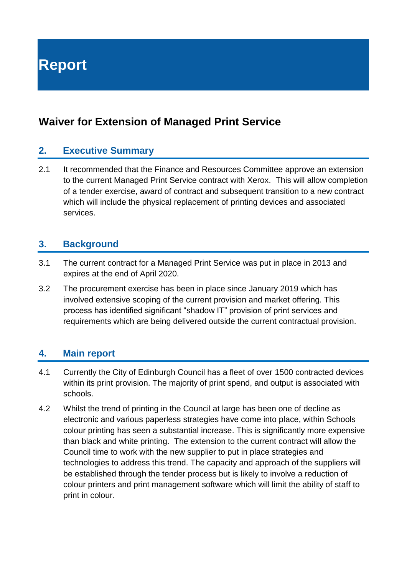**Report**

# **Waiver for Extension of Managed Print Service**

#### **2. Executive Summary**

2.1 It recommended that the Finance and Resources Committee approve an extension to the current Managed Print Service contract with Xerox. This will allow completion of a tender exercise, award of contract and subsequent transition to a new contract which will include the physical replacement of printing devices and associated services.

#### **3. Background**

- 3.1 The current contract for a Managed Print Service was put in place in 2013 and expires at the end of April 2020.
- 3.2 The procurement exercise has been in place since January 2019 which has involved extensive scoping of the current provision and market offering. This process has identified significant "shadow IT" provision of print services and requirements which are being delivered outside the current contractual provision.

### **4. Main report**

- 4.1 Currently the City of Edinburgh Council has a fleet of over 1500 contracted devices within its print provision. The majority of print spend, and output is associated with schools.
- 4.2 Whilst the trend of printing in the Council at large has been one of decline as electronic and various paperless strategies have come into place, within Schools colour printing has seen a substantial increase. This is significantly more expensive than black and white printing. The extension to the current contract will allow the Council time to work with the new supplier to put in place strategies and technologies to address this trend. The capacity and approach of the suppliers will be established through the tender process but is likely to involve a reduction of colour printers and print management software which will limit the ability of staff to print in colour.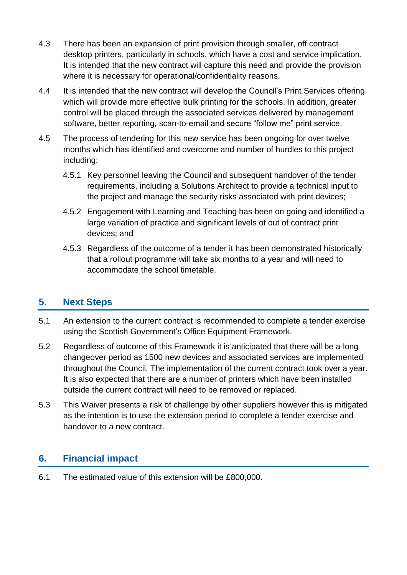- 4.3 There has been an expansion of print provision through smaller, off contract desktop printers, particularly in schools, which have a cost and service implication. It is intended that the new contract will capture this need and provide the provision where it is necessary for operational/confidentiality reasons.
- 4.4 It is intended that the new contract will develop the Council's Print Services offering which will provide more effective bulk printing for the schools. In addition, greater control will be placed through the associated services delivered by management software, better reporting, scan-to-email and secure "follow me" print service.
- 4.5 The process of tendering for this new service has been ongoing for over twelve months which has identified and overcome and number of hurdles to this project including;
	- 4.5.1 Key personnel leaving the Council and subsequent handover of the tender requirements, including a Solutions Architect to provide a technical input to the project and manage the security risks associated with print devices;
	- 4.5.2 Engagement with Learning and Teaching has been on going and identified a large variation of practice and significant levels of out of contract print devices; and
	- 4.5.3 Regardless of the outcome of a tender it has been demonstrated historically that a rollout programme will take six months to a year and will need to accommodate the school timetable.

### **5. Next Steps**

- 5.1 An extension to the current contract is recommended to complete a tender exercise using the Scottish Government's Office Equipment Framework.
- 5.2 Regardless of outcome of this Framework it is anticipated that there will be a long changeover period as 1500 new devices and associated services are implemented throughout the Council. The implementation of the current contract took over a year. It is also expected that there are a number of printers which have been installed outside the current contract will need to be removed or replaced.
- 5.3 This Waiver presents a risk of challenge by other suppliers however this is mitigated as the intention is to use the extension period to complete a tender exercise and handover to a new contract.

# **6. Financial impact**

6.1 The estimated value of this extension will be £800,000.